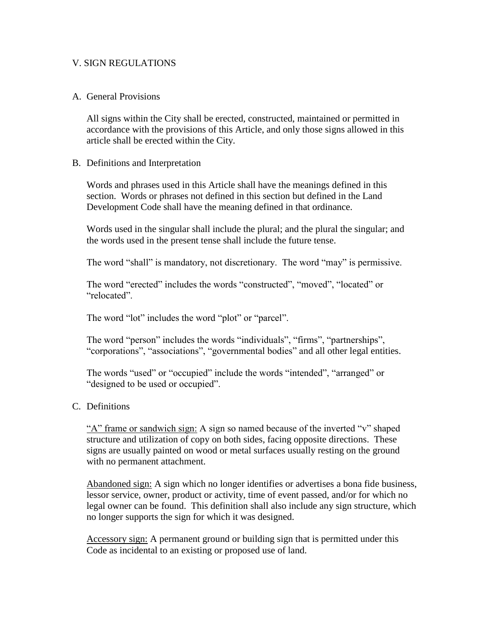### V. SIGN REGULATIONS

#### A. General Provisions

All signs within the City shall be erected, constructed, maintained or permitted in accordance with the provisions of this Article, and only those signs allowed in this article shall be erected within the City.

#### B. Definitions and Interpretation

Words and phrases used in this Article shall have the meanings defined in this section. Words or phrases not defined in this section but defined in the Land Development Code shall have the meaning defined in that ordinance.

Words used in the singular shall include the plural; and the plural the singular; and the words used in the present tense shall include the future tense.

The word "shall" is mandatory, not discretionary. The word "may" is permissive.

The word "erected" includes the words "constructed", "moved", "located" or "relocated".

The word "lot" includes the word "plot" or "parcel".

The word "person" includes the words "individuals", "firms", "partnerships", "corporations", "associations", "governmental bodies" and all other legal entities.

The words "used" or "occupied" include the words "intended", "arranged" or "designed to be used or occupied".

#### C. Definitions

"A" frame or sandwich sign: A sign so named because of the inverted "v" shaped structure and utilization of copy on both sides, facing opposite directions. These signs are usually painted on wood or metal surfaces usually resting on the ground with no permanent attachment.

Abandoned sign: A sign which no longer identifies or advertises a bona fide business, lessor service, owner, product or activity, time of event passed, and/or for which no legal owner can be found. This definition shall also include any sign structure, which no longer supports the sign for which it was designed.

Accessory sign: A permanent ground or building sign that is permitted under this Code as incidental to an existing or proposed use of land.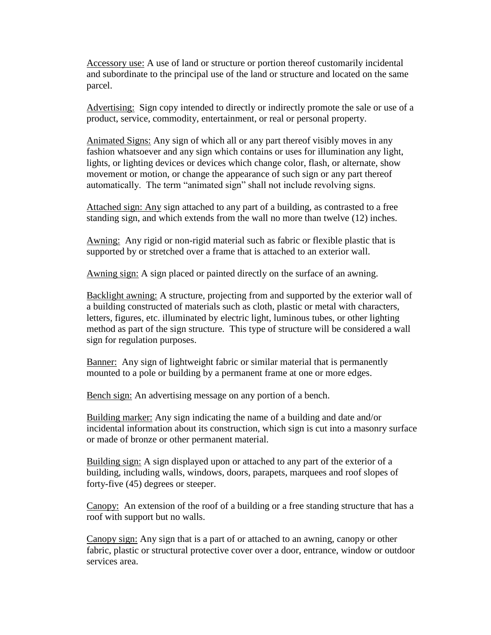Accessory use: A use of land or structure or portion thereof customarily incidental and subordinate to the principal use of the land or structure and located on the same parcel.

Advertising: Sign copy intended to directly or indirectly promote the sale or use of a product, service, commodity, entertainment, or real or personal property.

Animated Signs: Any sign of which all or any part thereof visibly moves in any fashion whatsoever and any sign which contains or uses for illumination any light, lights, or lighting devices or devices which change color, flash, or alternate, show movement or motion, or change the appearance of such sign or any part thereof automatically. The term "animated sign" shall not include revolving signs.

Attached sign: Any sign attached to any part of a building, as contrasted to a free standing sign, and which extends from the wall no more than twelve (12) inches.

Awning: Any rigid or non-rigid material such as fabric or flexible plastic that is supported by or stretched over a frame that is attached to an exterior wall.

Awning sign: A sign placed or painted directly on the surface of an awning.

Backlight awning: A structure, projecting from and supported by the exterior wall of a building constructed of materials such as cloth, plastic or metal with characters, letters, figures, etc. illuminated by electric light, luminous tubes, or other lighting method as part of the sign structure. This type of structure will be considered a wall sign for regulation purposes.

Banner: Any sign of lightweight fabric or similar material that is permanently mounted to a pole or building by a permanent frame at one or more edges.

Bench sign: An advertising message on any portion of a bench.

Building marker: Any sign indicating the name of a building and date and/or incidental information about its construction, which sign is cut into a masonry surface or made of bronze or other permanent material.

Building sign: A sign displayed upon or attached to any part of the exterior of a building, including walls, windows, doors, parapets, marquees and roof slopes of forty-five (45) degrees or steeper.

Canopy: An extension of the roof of a building or a free standing structure that has a roof with support but no walls.

Canopy sign: Any sign that is a part of or attached to an awning, canopy or other fabric, plastic or structural protective cover over a door, entrance, window or outdoor services area.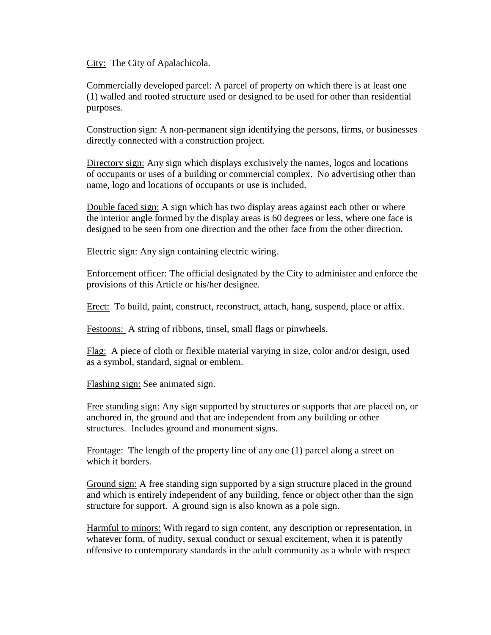City: The City of Apalachicola.

Commercially developed parcel: A parcel of property on which there is at least one (1) walled and roofed structure used or designed to be used for other than residential purposes.

Construction sign: A non-permanent sign identifying the persons, firms, or businesses directly connected with a construction project.

Directory sign: Any sign which displays exclusively the names, logos and locations of occupants or uses of a building or commercial complex. No advertising other than name, logo and locations of occupants or use is included.

Double faced sign: A sign which has two display areas against each other or where the interior angle formed by the display areas is 60 degrees or less, where one face is designed to be seen from one direction and the other face from the other direction.

Electric sign: Any sign containing electric wiring.

Enforcement officer: The official designated by the City to administer and enforce the provisions of this Article or his/her designee.

Erect: To build, paint, construct, reconstruct, attach, hang, suspend, place or affix.

Festoons: A string of ribbons, tinsel, small flags or pinwheels.

Flag: A piece of cloth or flexible material varying in size, color and/or design, used as a symbol, standard, signal or emblem.

Flashing sign: See animated sign.

Free standing sign: Any sign supported by structures or supports that are placed on, or anchored in, the ground and that are independent from any building or other structures. Includes ground and monument signs.

Frontage: The length of the property line of any one (1) parcel along a street on which it borders.

Ground sign: A free standing sign supported by a sign structure placed in the ground and which is entirely independent of any building, fence or object other than the sign structure for support. A ground sign is also known as a pole sign.

Harmful to minors: With regard to sign content, any description or representation, in whatever form, of nudity, sexual conduct or sexual excitement, when it is patently offensive to contemporary standards in the adult community as a whole with respect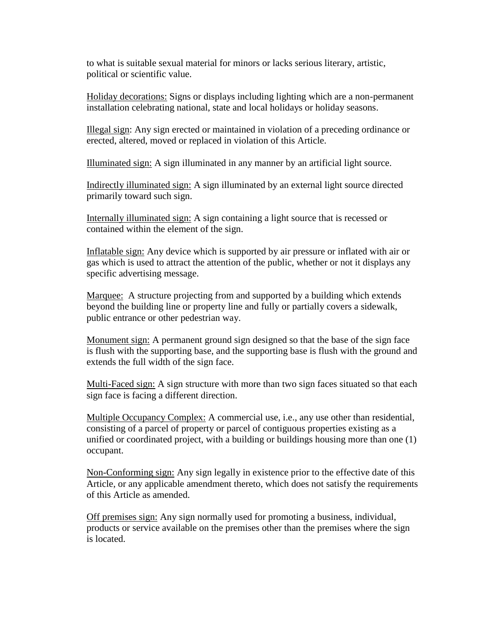to what is suitable sexual material for minors or lacks serious literary, artistic, political or scientific value.

Holiday decorations: Signs or displays including lighting which are a non-permanent installation celebrating national, state and local holidays or holiday seasons.

Illegal sign: Any sign erected or maintained in violation of a preceding ordinance or erected, altered, moved or replaced in violation of this Article.

Illuminated sign: A sign illuminated in any manner by an artificial light source.

Indirectly illuminated sign: A sign illuminated by an external light source directed primarily toward such sign.

Internally illuminated sign: A sign containing a light source that is recessed or contained within the element of the sign.

Inflatable sign: Any device which is supported by air pressure or inflated with air or gas which is used to attract the attention of the public, whether or not it displays any specific advertising message.

Marquee: A structure projecting from and supported by a building which extends beyond the building line or property line and fully or partially covers a sidewalk, public entrance or other pedestrian way.

Monument sign: A permanent ground sign designed so that the base of the sign face is flush with the supporting base, and the supporting base is flush with the ground and extends the full width of the sign face.

Multi-Faced sign: A sign structure with more than two sign faces situated so that each sign face is facing a different direction.

Multiple Occupancy Complex: A commercial use, i.e., any use other than residential, consisting of a parcel of property or parcel of contiguous properties existing as a unified or coordinated project, with a building or buildings housing more than one (1) occupant.

Non-Conforming sign: Any sign legally in existence prior to the effective date of this Article, or any applicable amendment thereto, which does not satisfy the requirements of this Article as amended.

Off premises sign: Any sign normally used for promoting a business, individual, products or service available on the premises other than the premises where the sign is located.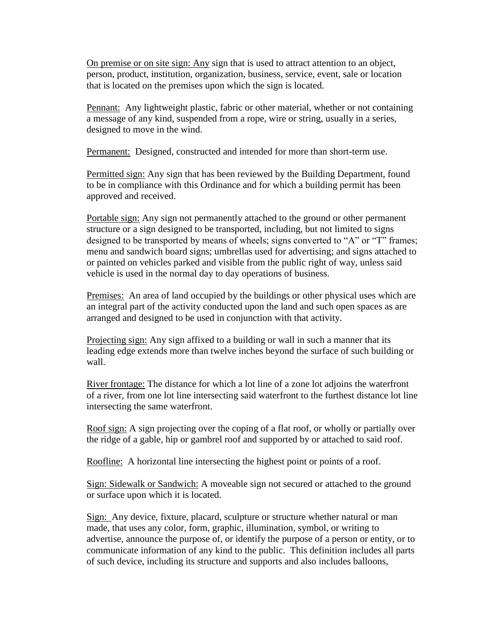On premise or on site sign: Any sign that is used to attract attention to an object, person, product, institution, organization, business, service, event, sale or location that is located on the premises upon which the sign is located.

Pennant: Any lightweight plastic, fabric or other material, whether or not containing a message of any kind, suspended from a rope, wire or string, usually in a series, designed to move in the wind.

Permanent: Designed, constructed and intended for more than short-term use.

Permitted sign: Any sign that has been reviewed by the Building Department, found to be in compliance with this Ordinance and for which a building permit has been approved and received.

Portable sign: Any sign not permanently attached to the ground or other permanent structure or a sign designed to be transported, including, but not limited to signs designed to be transported by means of wheels; signs converted to "A" or "T" frames; menu and sandwich board signs; umbrellas used for advertising; and signs attached to or painted on vehicles parked and visible from the public right of way, unless said vehicle is used in the normal day to day operations of business.

Premises: An area of land occupied by the buildings or other physical uses which are an integral part of the activity conducted upon the land and such open spaces as are arranged and designed to be used in conjunction with that activity.

Projecting sign: Any sign affixed to a building or wall in such a manner that its leading edge extends more than twelve inches beyond the surface of such building or wall.

River frontage: The distance for which a lot line of a zone lot adjoins the waterfront of a river, from one lot line intersecting said waterfront to the furthest distance lot line intersecting the same waterfront.

Roof sign: A sign projecting over the coping of a flat roof, or wholly or partially over the ridge of a gable, hip or gambrel roof and supported by or attached to said roof.

Roofline: A horizontal line intersecting the highest point or points of a roof.

Sign: Sidewalk or Sandwich: A moveable sign not secured or attached to the ground or surface upon which it is located.

Sign: Any device, fixture, placard, sculpture or structure whether natural or man made, that uses any color, form, graphic, illumination, symbol, or writing to advertise, announce the purpose of, or identify the purpose of a person or entity, or to communicate information of any kind to the public. This definition includes all parts of such device, including its structure and supports and also includes balloons,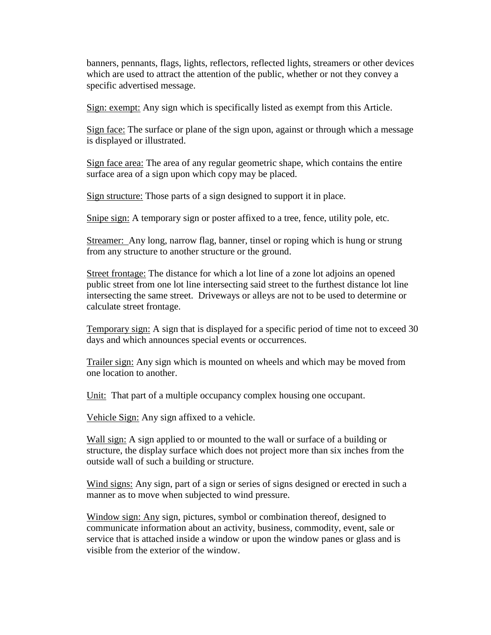banners, pennants, flags, lights, reflectors, reflected lights, streamers or other devices which are used to attract the attention of the public, whether or not they convey a specific advertised message.

Sign: exempt: Any sign which is specifically listed as exempt from this Article.

Sign face: The surface or plane of the sign upon, against or through which a message is displayed or illustrated.

Sign face area: The area of any regular geometric shape, which contains the entire surface area of a sign upon which copy may be placed.

Sign structure: Those parts of a sign designed to support it in place.

Snipe sign: A temporary sign or poster affixed to a tree, fence, utility pole, etc.

Streamer: Any long, narrow flag, banner, tinsel or roping which is hung or strung from any structure to another structure or the ground.

Street frontage: The distance for which a lot line of a zone lot adjoins an opened public street from one lot line intersecting said street to the furthest distance lot line intersecting the same street. Driveways or alleys are not to be used to determine or calculate street frontage.

Temporary sign: A sign that is displayed for a specific period of time not to exceed 30 days and which announces special events or occurrences.

Trailer sign: Any sign which is mounted on wheels and which may be moved from one location to another.

Unit: That part of a multiple occupancy complex housing one occupant.

Vehicle Sign: Any sign affixed to a vehicle.

Wall sign: A sign applied to or mounted to the wall or surface of a building or structure, the display surface which does not project more than six inches from the outside wall of such a building or structure.

Wind signs: Any sign, part of a sign or series of signs designed or erected in such a manner as to move when subjected to wind pressure.

Window sign: Any sign, pictures, symbol or combination thereof, designed to communicate information about an activity, business, commodity, event, sale or service that is attached inside a window or upon the window panes or glass and is visible from the exterior of the window.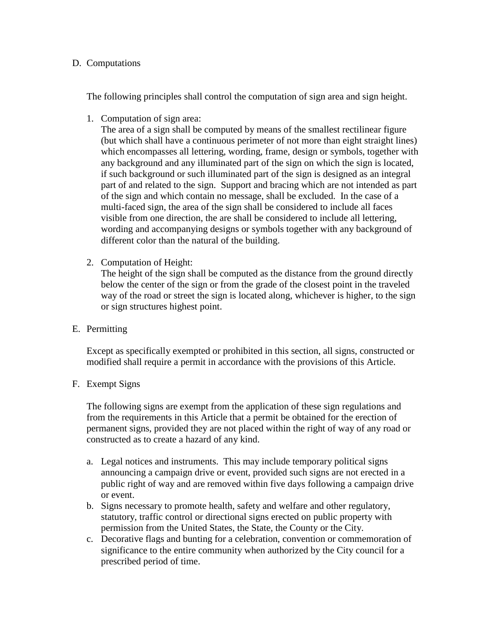### D. Computations

The following principles shall control the computation of sign area and sign height.

1. Computation of sign area:

The area of a sign shall be computed by means of the smallest rectilinear figure (but which shall have a continuous perimeter of not more than eight straight lines) which encompasses all lettering, wording, frame, design or symbols, together with any background and any illuminated part of the sign on which the sign is located, if such background or such illuminated part of the sign is designed as an integral part of and related to the sign. Support and bracing which are not intended as part of the sign and which contain no message, shall be excluded. In the case of a multi-faced sign, the area of the sign shall be considered to include all faces visible from one direction, the are shall be considered to include all lettering, wording and accompanying designs or symbols together with any background of different color than the natural of the building.

2. Computation of Height:

The height of the sign shall be computed as the distance from the ground directly below the center of the sign or from the grade of the closest point in the traveled way of the road or street the sign is located along, whichever is higher, to the sign or sign structures highest point.

E. Permitting

Except as specifically exempted or prohibited in this section, all signs, constructed or modified shall require a permit in accordance with the provisions of this Article.

F. Exempt Signs

The following signs are exempt from the application of these sign regulations and from the requirements in this Article that a permit be obtained for the erection of permanent signs, provided they are not placed within the right of way of any road or constructed as to create a hazard of any kind.

- a. Legal notices and instruments. This may include temporary political signs announcing a campaign drive or event, provided such signs are not erected in a public right of way and are removed within five days following a campaign drive or event.
- b. Signs necessary to promote health, safety and welfare and other regulatory, statutory, traffic control or directional signs erected on public property with permission from the United States, the State, the County or the City.
- c. Decorative flags and bunting for a celebration, convention or commemoration of significance to the entire community when authorized by the City council for a prescribed period of time.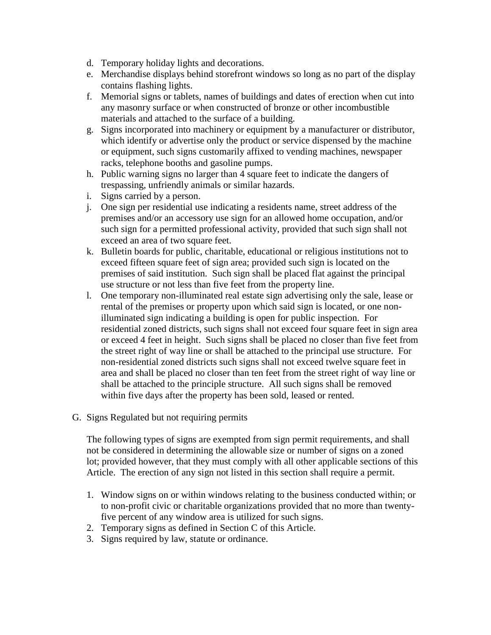- d. Temporary holiday lights and decorations.
- e. Merchandise displays behind storefront windows so long as no part of the display contains flashing lights.
- f. Memorial signs or tablets, names of buildings and dates of erection when cut into any masonry surface or when constructed of bronze or other incombustible materials and attached to the surface of a building.
- g. Signs incorporated into machinery or equipment by a manufacturer or distributor, which identify or advertise only the product or service dispensed by the machine or equipment, such signs customarily affixed to vending machines, newspaper racks, telephone booths and gasoline pumps.
- h. Public warning signs no larger than 4 square feet to indicate the dangers of trespassing, unfriendly animals or similar hazards.
- i. Signs carried by a person.
- j. One sign per residential use indicating a residents name, street address of the premises and/or an accessory use sign for an allowed home occupation, and/or such sign for a permitted professional activity, provided that such sign shall not exceed an area of two square feet.
- k. Bulletin boards for public, charitable, educational or religious institutions not to exceed fifteen square feet of sign area; provided such sign is located on the premises of said institution. Such sign shall be placed flat against the principal use structure or not less than five feet from the property line.
- l. One temporary non-illuminated real estate sign advertising only the sale, lease or rental of the premises or property upon which said sign is located, or one nonilluminated sign indicating a building is open for public inspection. For residential zoned districts, such signs shall not exceed four square feet in sign area or exceed 4 feet in height. Such signs shall be placed no closer than five feet from the street right of way line or shall be attached to the principal use structure. For non-residential zoned districts such signs shall not exceed twelve square feet in area and shall be placed no closer than ten feet from the street right of way line or shall be attached to the principle structure. All such signs shall be removed within five days after the property has been sold, leased or rented.
- G. Signs Regulated but not requiring permits

The following types of signs are exempted from sign permit requirements, and shall not be considered in determining the allowable size or number of signs on a zoned lot; provided however, that they must comply with all other applicable sections of this Article. The erection of any sign not listed in this section shall require a permit.

- 1. Window signs on or within windows relating to the business conducted within; or to non-profit civic or charitable organizations provided that no more than twentyfive percent of any window area is utilized for such signs.
- 2. Temporary signs as defined in Section C of this Article.
- 3. Signs required by law, statute or ordinance.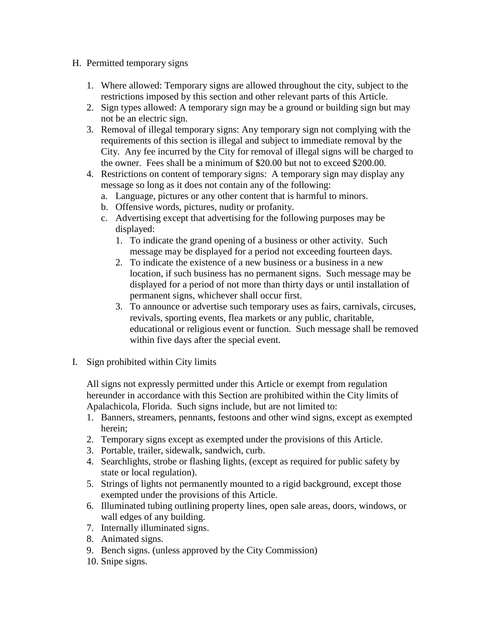- H. Permitted temporary signs
	- 1. Where allowed: Temporary signs are allowed throughout the city, subject to the restrictions imposed by this section and other relevant parts of this Article.
	- 2. Sign types allowed: A temporary sign may be a ground or building sign but may not be an electric sign.
	- 3. Removal of illegal temporary signs: Any temporary sign not complying with the requirements of this section is illegal and subject to immediate removal by the City. Any fee incurred by the City for removal of illegal signs will be charged to the owner. Fees shall be a minimum of \$20.00 but not to exceed \$200.00.
	- 4. Restrictions on content of temporary signs: A temporary sign may display any message so long as it does not contain any of the following:
		- a. Language, pictures or any other content that is harmful to minors.
		- b. Offensive words, pictures, nudity or profanity.
		- c. Advertising except that advertising for the following purposes may be displayed:
			- 1. To indicate the grand opening of a business or other activity. Such message may be displayed for a period not exceeding fourteen days.
			- 2. To indicate the existence of a new business or a business in a new location, if such business has no permanent signs. Such message may be displayed for a period of not more than thirty days or until installation of permanent signs, whichever shall occur first.
			- 3. To announce or advertise such temporary uses as fairs, carnivals, circuses, revivals, sporting events, flea markets or any public, charitable, educational or religious event or function. Such message shall be removed within five days after the special event.
- I. Sign prohibited within City limits

All signs not expressly permitted under this Article or exempt from regulation hereunder in accordance with this Section are prohibited within the City limits of Apalachicola, Florida. Such signs include, but are not limited to:

- 1. Banners, streamers, pennants, festoons and other wind signs, except as exempted herein;
- 2. Temporary signs except as exempted under the provisions of this Article.
- 3. Portable, trailer, sidewalk, sandwich, curb.
- 4. Searchlights, strobe or flashing lights, (except as required for public safety by state or local regulation).
- 5. Strings of lights not permanently mounted to a rigid background, except those exempted under the provisions of this Article.
- 6. Illuminated tubing outlining property lines, open sale areas, doors, windows, or wall edges of any building.
- 7. Internally illuminated signs.
- 8. Animated signs.
- 9. Bench signs. (unless approved by the City Commission)
- 10. Snipe signs.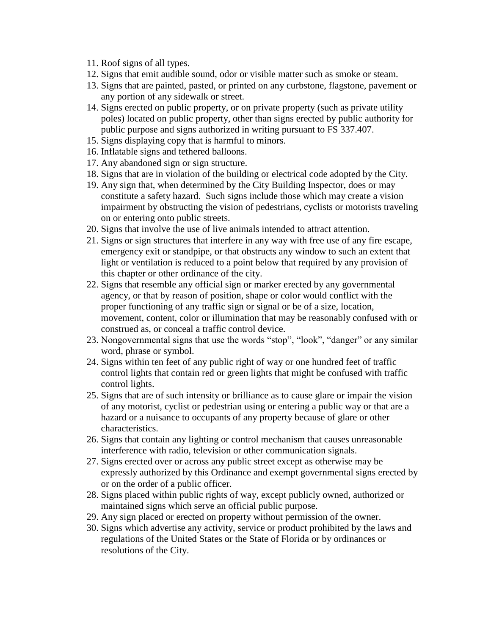- 11. Roof signs of all types.
- 12. Signs that emit audible sound, odor or visible matter such as smoke or steam.
- 13. Signs that are painted, pasted, or printed on any curbstone, flagstone, pavement or any portion of any sidewalk or street.
- 14. Signs erected on public property, or on private property (such as private utility poles) located on public property, other than signs erected by public authority for public purpose and signs authorized in writing pursuant to FS 337.407.
- 15. Signs displaying copy that is harmful to minors.
- 16. Inflatable signs and tethered balloons.
- 17. Any abandoned sign or sign structure.
- 18. Signs that are in violation of the building or electrical code adopted by the City.
- 19. Any sign that, when determined by the City Building Inspector, does or may constitute a safety hazard. Such signs include those which may create a vision impairment by obstructing the vision of pedestrians, cyclists or motorists traveling on or entering onto public streets.
- 20. Signs that involve the use of live animals intended to attract attention.
- 21. Signs or sign structures that interfere in any way with free use of any fire escape, emergency exit or standpipe, or that obstructs any window to such an extent that light or ventilation is reduced to a point below that required by any provision of this chapter or other ordinance of the city.
- 22. Signs that resemble any official sign or marker erected by any governmental agency, or that by reason of position, shape or color would conflict with the proper functioning of any traffic sign or signal or be of a size, location, movement, content, color or illumination that may be reasonably confused with or construed as, or conceal a traffic control device.
- 23. Nongovernmental signs that use the words "stop", "look", "danger" or any similar word, phrase or symbol.
- 24. Signs within ten feet of any public right of way or one hundred feet of traffic control lights that contain red or green lights that might be confused with traffic control lights.
- 25. Signs that are of such intensity or brilliance as to cause glare or impair the vision of any motorist, cyclist or pedestrian using or entering a public way or that are a hazard or a nuisance to occupants of any property because of glare or other characteristics.
- 26. Signs that contain any lighting or control mechanism that causes unreasonable interference with radio, television or other communication signals.
- 27. Signs erected over or across any public street except as otherwise may be expressly authorized by this Ordinance and exempt governmental signs erected by or on the order of a public officer.
- 28. Signs placed within public rights of way, except publicly owned, authorized or maintained signs which serve an official public purpose.
- 29. Any sign placed or erected on property without permission of the owner.
- 30. Signs which advertise any activity, service or product prohibited by the laws and regulations of the United States or the State of Florida or by ordinances or resolutions of the City.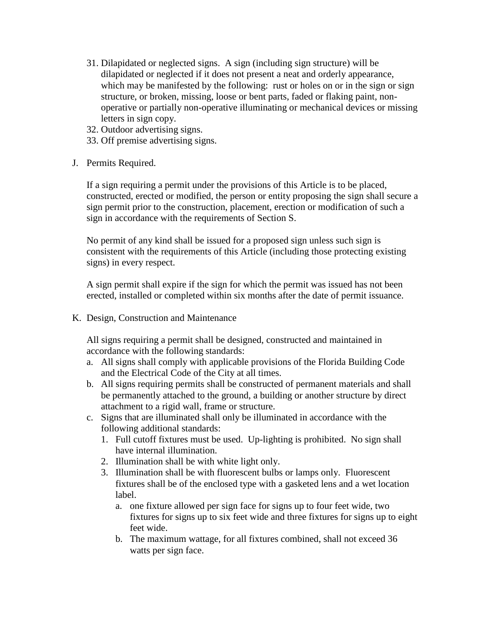- 31. Dilapidated or neglected signs. A sign (including sign structure) will be dilapidated or neglected if it does not present a neat and orderly appearance, which may be manifested by the following: rust or holes on or in the sign or sign structure, or broken, missing, loose or bent parts, faded or flaking paint, nonoperative or partially non-operative illuminating or mechanical devices or missing letters in sign copy.
- 32. Outdoor advertising signs.
- 33. Off premise advertising signs.
- J. Permits Required.

If a sign requiring a permit under the provisions of this Article is to be placed, constructed, erected or modified, the person or entity proposing the sign shall secure a sign permit prior to the construction, placement, erection or modification of such a sign in accordance with the requirements of Section S.

No permit of any kind shall be issued for a proposed sign unless such sign is consistent with the requirements of this Article (including those protecting existing signs) in every respect.

A sign permit shall expire if the sign for which the permit was issued has not been erected, installed or completed within six months after the date of permit issuance.

K. Design, Construction and Maintenance

All signs requiring a permit shall be designed, constructed and maintained in accordance with the following standards:

- a. All signs shall comply with applicable provisions of the Florida Building Code and the Electrical Code of the City at all times.
- b. All signs requiring permits shall be constructed of permanent materials and shall be permanently attached to the ground, a building or another structure by direct attachment to a rigid wall, frame or structure.
- c. Signs that are illuminated shall only be illuminated in accordance with the following additional standards:
	- 1. Full cutoff fixtures must be used. Up-lighting is prohibited. No sign shall have internal illumination.
	- 2. Illumination shall be with white light only.
	- 3. Illumination shall be with fluorescent bulbs or lamps only. Fluorescent fixtures shall be of the enclosed type with a gasketed lens and a wet location label.
		- a. one fixture allowed per sign face for signs up to four feet wide, two fixtures for signs up to six feet wide and three fixtures for signs up to eight feet wide.
		- b. The maximum wattage, for all fixtures combined, shall not exceed 36 watts per sign face.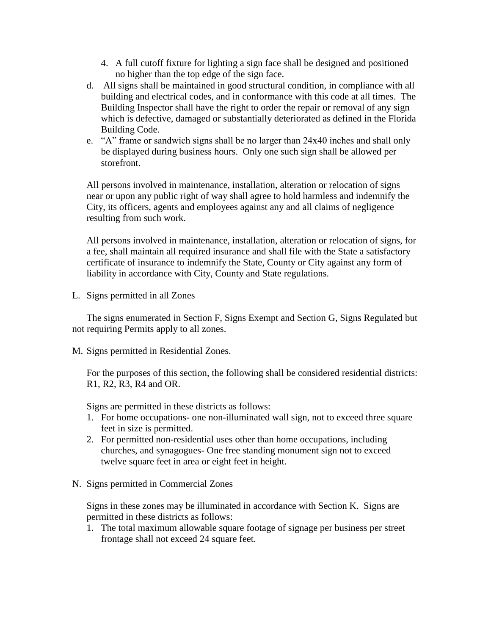- 4. A full cutoff fixture for lighting a sign face shall be designed and positioned no higher than the top edge of the sign face.
- d. All signs shall be maintained in good structural condition, in compliance with all building and electrical codes, and in conformance with this code at all times. The Building Inspector shall have the right to order the repair or removal of any sign which is defective, damaged or substantially deteriorated as defined in the Florida Building Code.
- e. "A" frame or sandwich signs shall be no larger than 24x40 inches and shall only be displayed during business hours. Only one such sign shall be allowed per storefront.

All persons involved in maintenance, installation, alteration or relocation of signs near or upon any public right of way shall agree to hold harmless and indemnify the City, its officers, agents and employees against any and all claims of negligence resulting from such work.

All persons involved in maintenance, installation, alteration or relocation of signs, for a fee, shall maintain all required insurance and shall file with the State a satisfactory certificate of insurance to indemnify the State, County or City against any form of liability in accordance with City, County and State regulations.

L. Signs permitted in all Zones

The signs enumerated in Section F, Signs Exempt and Section G, Signs Regulated but not requiring Permits apply to all zones.

M. Signs permitted in Residential Zones.

For the purposes of this section, the following shall be considered residential districts: R1, R2, R3, R4 and OR.

Signs are permitted in these districts as follows:

- 1. For home occupations- one non-illuminated wall sign, not to exceed three square feet in size is permitted.
- 2. For permitted non-residential uses other than home occupations, including churches, and synagogues- One free standing monument sign not to exceed twelve square feet in area or eight feet in height.
- N. Signs permitted in Commercial Zones

Signs in these zones may be illuminated in accordance with Section K. Signs are permitted in these districts as follows:

1. The total maximum allowable square footage of signage per business per street frontage shall not exceed 24 square feet.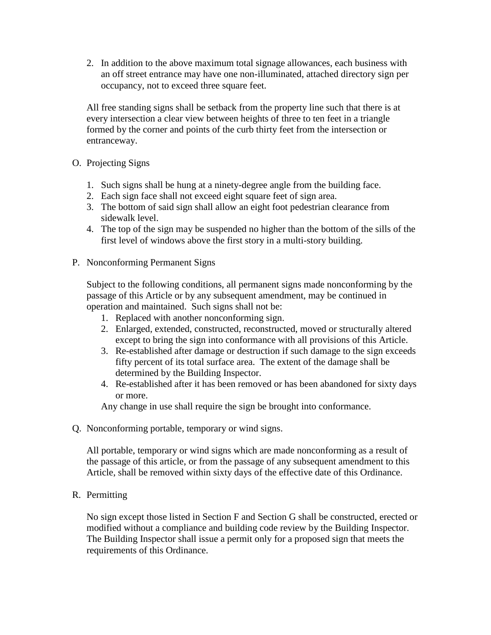2. In addition to the above maximum total signage allowances, each business with an off street entrance may have one non-illuminated, attached directory sign per occupancy, not to exceed three square feet.

All free standing signs shall be setback from the property line such that there is at every intersection a clear view between heights of three to ten feet in a triangle formed by the corner and points of the curb thirty feet from the intersection or entranceway.

- O. Projecting Signs
	- 1. Such signs shall be hung at a ninety-degree angle from the building face.
	- 2. Each sign face shall not exceed eight square feet of sign area.
	- 3. The bottom of said sign shall allow an eight foot pedestrian clearance from sidewalk level.
	- 4. The top of the sign may be suspended no higher than the bottom of the sills of the first level of windows above the first story in a multi-story building.
- P. Nonconforming Permanent Signs

Subject to the following conditions, all permanent signs made nonconforming by the passage of this Article or by any subsequent amendment, may be continued in operation and maintained. Such signs shall not be:

- 1. Replaced with another nonconforming sign.
- 2. Enlarged, extended, constructed, reconstructed, moved or structurally altered except to bring the sign into conformance with all provisions of this Article.
- 3. Re-established after damage or destruction if such damage to the sign exceeds fifty percent of its total surface area. The extent of the damage shall be determined by the Building Inspector.
- 4. Re-established after it has been removed or has been abandoned for sixty days or more.

Any change in use shall require the sign be brought into conformance.

Q. Nonconforming portable, temporary or wind signs.

All portable, temporary or wind signs which are made nonconforming as a result of the passage of this article, or from the passage of any subsequent amendment to this Article, shall be removed within sixty days of the effective date of this Ordinance.

# R. Permitting

No sign except those listed in Section F and Section G shall be constructed, erected or modified without a compliance and building code review by the Building Inspector. The Building Inspector shall issue a permit only for a proposed sign that meets the requirements of this Ordinance.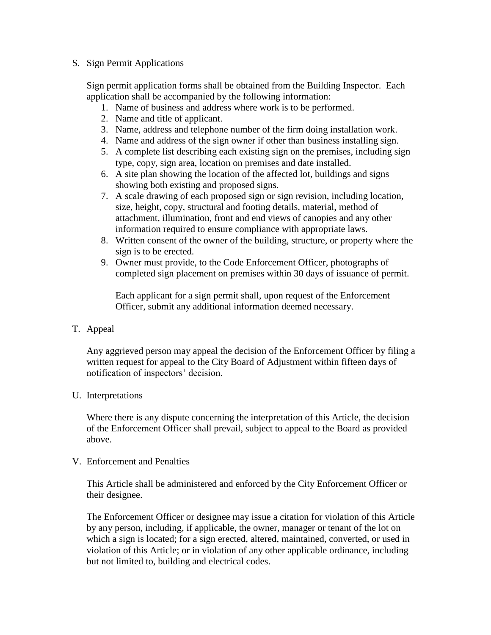### S. Sign Permit Applications

Sign permit application forms shall be obtained from the Building Inspector. Each application shall be accompanied by the following information:

- 1. Name of business and address where work is to be performed.
- 2. Name and title of applicant.
- 3. Name, address and telephone number of the firm doing installation work.
- 4. Name and address of the sign owner if other than business installing sign.
- 5. A complete list describing each existing sign on the premises, including sign type, copy, sign area, location on premises and date installed.
- 6. A site plan showing the location of the affected lot, buildings and signs showing both existing and proposed signs.
- 7. A scale drawing of each proposed sign or sign revision, including location, size, height, copy, structural and footing details, material, method of attachment, illumination, front and end views of canopies and any other information required to ensure compliance with appropriate laws.
- 8. Written consent of the owner of the building, structure, or property where the sign is to be erected.
- 9. Owner must provide, to the Code Enforcement Officer, photographs of completed sign placement on premises within 30 days of issuance of permit.

Each applicant for a sign permit shall, upon request of the Enforcement Officer, submit any additional information deemed necessary.

# T. Appeal

Any aggrieved person may appeal the decision of the Enforcement Officer by filing a written request for appeal to the City Board of Adjustment within fifteen days of notification of inspectors' decision.

# U. Interpretations

Where there is any dispute concerning the interpretation of this Article, the decision of the Enforcement Officer shall prevail, subject to appeal to the Board as provided above.

### V. Enforcement and Penalties

This Article shall be administered and enforced by the City Enforcement Officer or their designee.

The Enforcement Officer or designee may issue a citation for violation of this Article by any person, including, if applicable, the owner, manager or tenant of the lot on which a sign is located; for a sign erected, altered, maintained, converted, or used in violation of this Article; or in violation of any other applicable ordinance, including but not limited to, building and electrical codes.